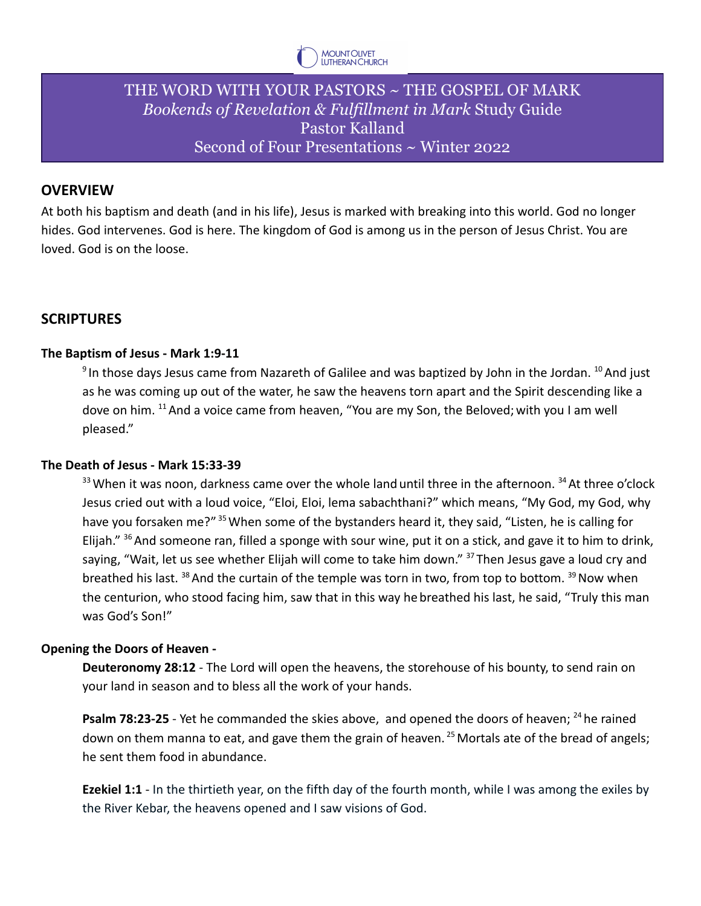

# THE WORD WITH YOUR PASTORS ~ THE GOSPEL OF MARK *Bookends of Revelation & Fulfillment in Mark* Study Guide Pastor Kalland Second of Four Presentations ~ Winter 2022

### **OVERVIEW**

At both his baptism and death (and in his life), Jesus is marked with breaking into this world. God no longer hides. God intervenes. God is here. The kingdom of God is among us in the person of Jesus Christ. You are loved. God is on the loose.

## **SCRIPTURES**

### **The Baptism of Jesus - Mark 1:9-11**

 $^9$ In those days Jesus came from Nazareth of Galilee and was baptized by John in the Jordan.  $^{10}$  And just as he was coming up out of the water, he saw the heavens torn apart and the Spirit descending like a dove on him. <sup>11</sup> And a voice came from heaven, "You are my Son, the Beloved; with you I am well pleased."

#### **The Death of Jesus - Mark 15:33-39**

 $33$  When it was noon, darkness came over the whole land until three in the afternoon.  $34$  At three o'clock Jesus cried out with a loud voice, "Eloi, Eloi, lema sabachthani?" which means, "My God, my God, why have you forsaken me?" <sup>35</sup> When some of the bystanders heard it, they said, "Listen, he is calling for Elijah." <sup>36</sup> And someone ran, filled a sponge with sour wine, put it on a stick, and gave it to him to drink, saying, "Wait, let us see whether Elijah will come to take him down." <sup>37</sup> Then Jesus gave a loud cry and breathed his last.  $^{38}$  And the curtain of the temple was torn in two, from top to bottom.  $^{39}$  Now when the centurion, who stood facing him, saw that in this way he breathed his last, he said, "Truly this man was God's Son!"

### **Opening the Doors of Heaven -**

**Deuteronomy 28:12** - The Lord will open the heavens, the storehouse of his bounty, to send rain on your land in season and to bless all the work of your hands.

**Psalm 78:23-25** - Yet he commanded the skies above, and opened the doors of heaven; <sup>24</sup> he rained down on them manna to eat, and gave them the grain of heaven.<sup>25</sup> Mortals ate of the bread of angels; he sent them food in abundance.

**Ezekiel 1:1** - In the thirtieth year, on the fifth day of the fourth month, while I was among the exiles by the River Kebar, the heavens opened and I saw visions of God.